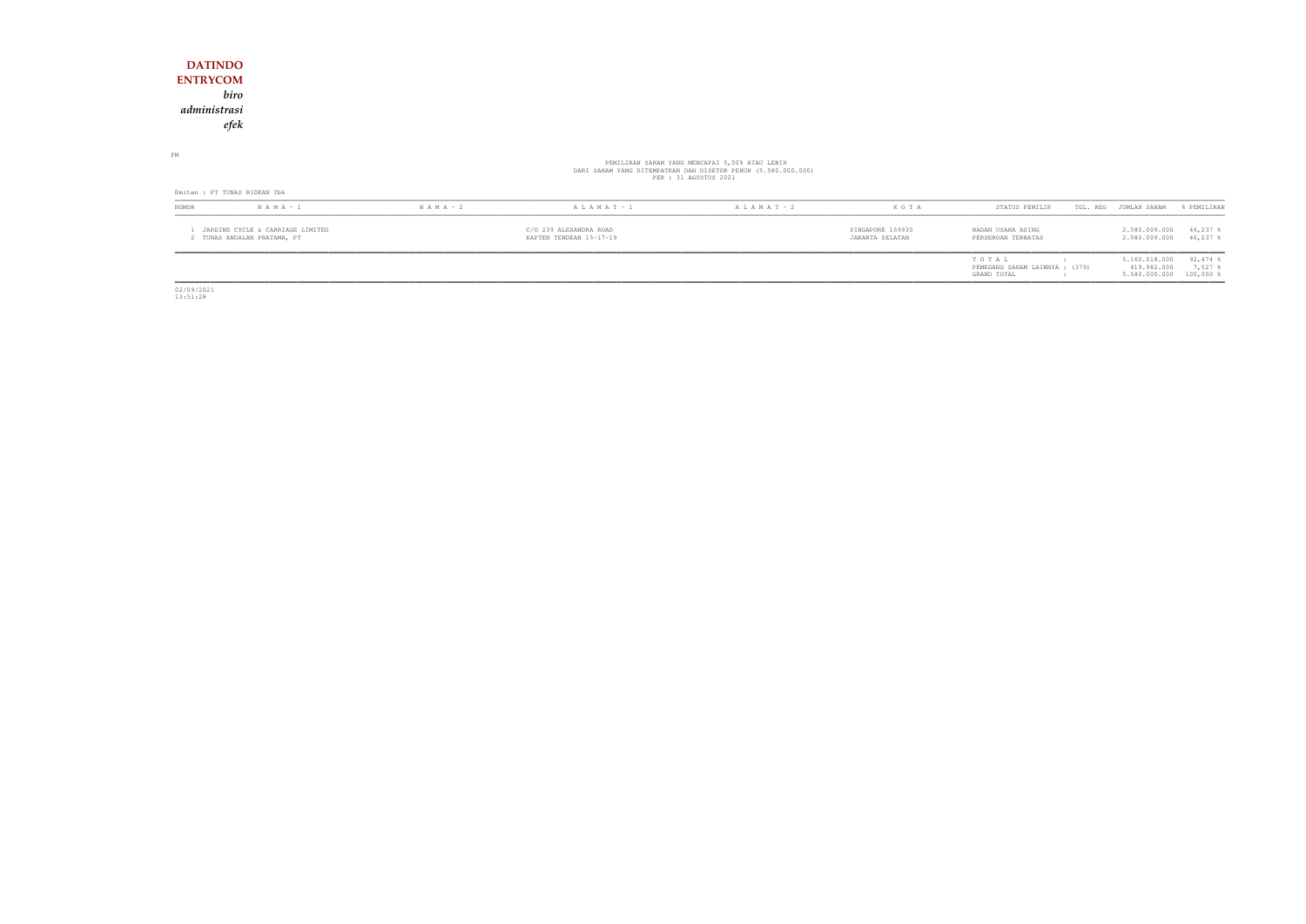## **DATINDO ENTRYCOM** *biro administrasiefek*

# PEMILIKAN SAHAM YANG MENCAPAI 5,00% ATAU LEBIH<br>DARI SAHAM YANG DITEMPATKAN DAN DISETOR PENUH (5.580.000.000)<br>PER : 31 AGUSTUS 2021

PM

|       | Emiten : PT TUNAS RIDEAN Tbk                                  |               |                                                   |                   |                                     |                                         |  |                                |                  |  |  |
|-------|---------------------------------------------------------------|---------------|---------------------------------------------------|-------------------|-------------------------------------|-----------------------------------------|--|--------------------------------|------------------|--|--|
| NOMOR | $N A M A - 1$                                                 | $N A M A - 2$ | $A L A M A T - 1$                                 | $A L A M A T - 2$ | K O T A                             | STATUS PEMILIK                          |  | TGL. REG JUMLAH SAHAM          | & PEMILIKAN      |  |  |
|       | JARDINE CYCLE & CARRIAGE LIMITED<br>TUNAS ANDALAN PRATAMA, PT |               | C/O 239 ALEXANDRA ROAD<br>KAPTEN TENDEAN 15-17-19 |                   | SINGAPORE 159930<br>JAKARTA SELATAN | BADAN USAHA ASING<br>PERSEROAN TERBATAS |  | 2.580.009.000<br>2.580.009.000 | 46,237<br>46,237 |  |  |

| STATUS PEMILIK                 | TGL. REG | JUMLAH SAHAM  | % PEMILIKAN           |
|--------------------------------|----------|---------------|-----------------------|
| BADAN USAHA ASING              |          | 2.580.009.000 | $46.237$ %            |
| PERSEROAN TERBATAS             |          | 2.580.009.000 | $46.237$ \$           |
| TO TAI.                        |          | 5.160.018.000 | $92,474$ %            |
| PEMEGANG SAHAM LAINNYA : (379) |          | 419.982.000   | $7.527$ $\frac{8}{3}$ |
| GRAND TOTAL                    |          | 5.580.000.000 | $100,000$ %           |

02/09/2021 13:51:28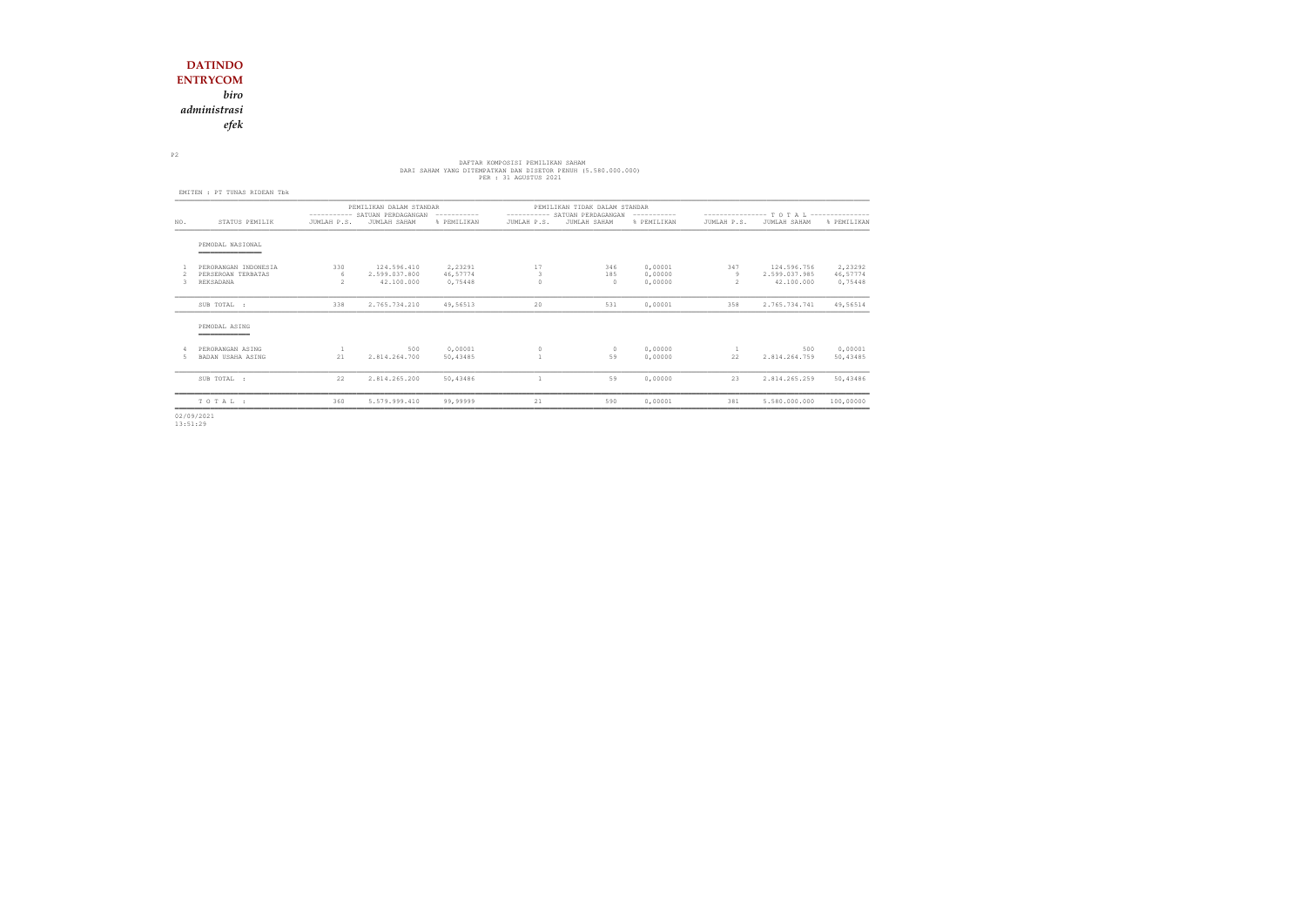*biro*

*administrasi*

*efek*

## DARI SAHAM YANG DITEMPATKAN DAN DISETOR PEMILIKAN SAHAM<br>DARI SAHAM YANG DITEMPATKAN DAN DISETOR PENUH (5.580.000.000)<br>PER : 31 AGUSTUS 2021

P2

|     | EMITEN : PT TUNAS RIDEAN Tbk           |               |                                                                          |             |              |                                                                |             |                                            |               |             |  |
|-----|----------------------------------------|---------------|--------------------------------------------------------------------------|-------------|--------------|----------------------------------------------------------------|-------------|--------------------------------------------|---------------|-------------|--|
|     |                                        |               | PEMILIKAN DALAM STANDAR<br>---------- SATUAN PERDAGANGAN<br>------------ |             |              | PEMILIKAN TIDAK DALAM STANDAR<br>---------- SATUAN PERDAGANGAN |             | ---------------- T O T A L --------------- |               |             |  |
| NO. | STATUS PEMILIK                         | JUMLAH P.S.   | JUMLAH SAHAM                                                             | % PEMILIKAN | JUMLAH P.S.  | JUMLAH SAHAM                                                   | % PEMILIKAN | JUMLAH P.S.                                | JUMLAH SAHAM  | % PEMILIKAN |  |
|     | PEMODAL NASIONAL<br>__________________ |               |                                                                          |             |              |                                                                |             |                                            |               |             |  |
|     | PERORANGAN INDONESIA                   | 330           | 124.596.410                                                              | 2,23291     | 17           | 346                                                            | 0,00001     | 347                                        | 124.596.756   | 2,23292     |  |
|     | PERSEROAN TERBATAS                     | 6             | 2.599.037.800                                                            | 46,57774    | 3            | 185                                                            | 0,00000     | 9                                          | 2.599.037.985 | 46,57774    |  |
| 3.  | REKSADANA                              | $\mathcal{P}$ | 42.100.000                                                               | 0,75448     | $\Omega$     | $\Omega$                                                       | 0,00000     | 2                                          | 42.100.000    | 0,75448     |  |
|     | SUB TOTAL :                            | 338           | 2.765.734.210                                                            | 49,56513    | 20           | 531                                                            | 0,00001     | 358                                        | 2.765.734.741 | 49,56514    |  |
|     | PEMODAL ASING                          |               |                                                                          |             |              |                                                                |             |                                            |               |             |  |
|     | PERORANGAN ASING                       | $\mathbf{1}$  | 500                                                                      | 0,00001     | $\circ$      | $\circ$                                                        | 0,00000     | $\mathbf{1}$                               | 500           | 0,00001     |  |
|     | BADAN USAHA ASING                      | 21            | 2.814.264.700                                                            | 50,43485    |              | 59                                                             | 0,00000     | 22                                         | 2.814.264.759 | 50,43485    |  |
|     | SUB TOTAL :                            | 22            | 2.814.265.200                                                            | 50,43486    | $\mathbf{1}$ | 59                                                             | 0,00000     | 23                                         | 2.814.265.259 | 50,43486    |  |
|     | TOTAL:                                 | 360           | 5.579.999.410                                                            | 99,99999    | 21           | 590                                                            | 0,00001     | 381                                        | 5.580.000.000 | 100,00000   |  |
|     |                                        |               |                                                                          |             |              |                                                                |             |                                            |               |             |  |

02/09/2021 13:51:29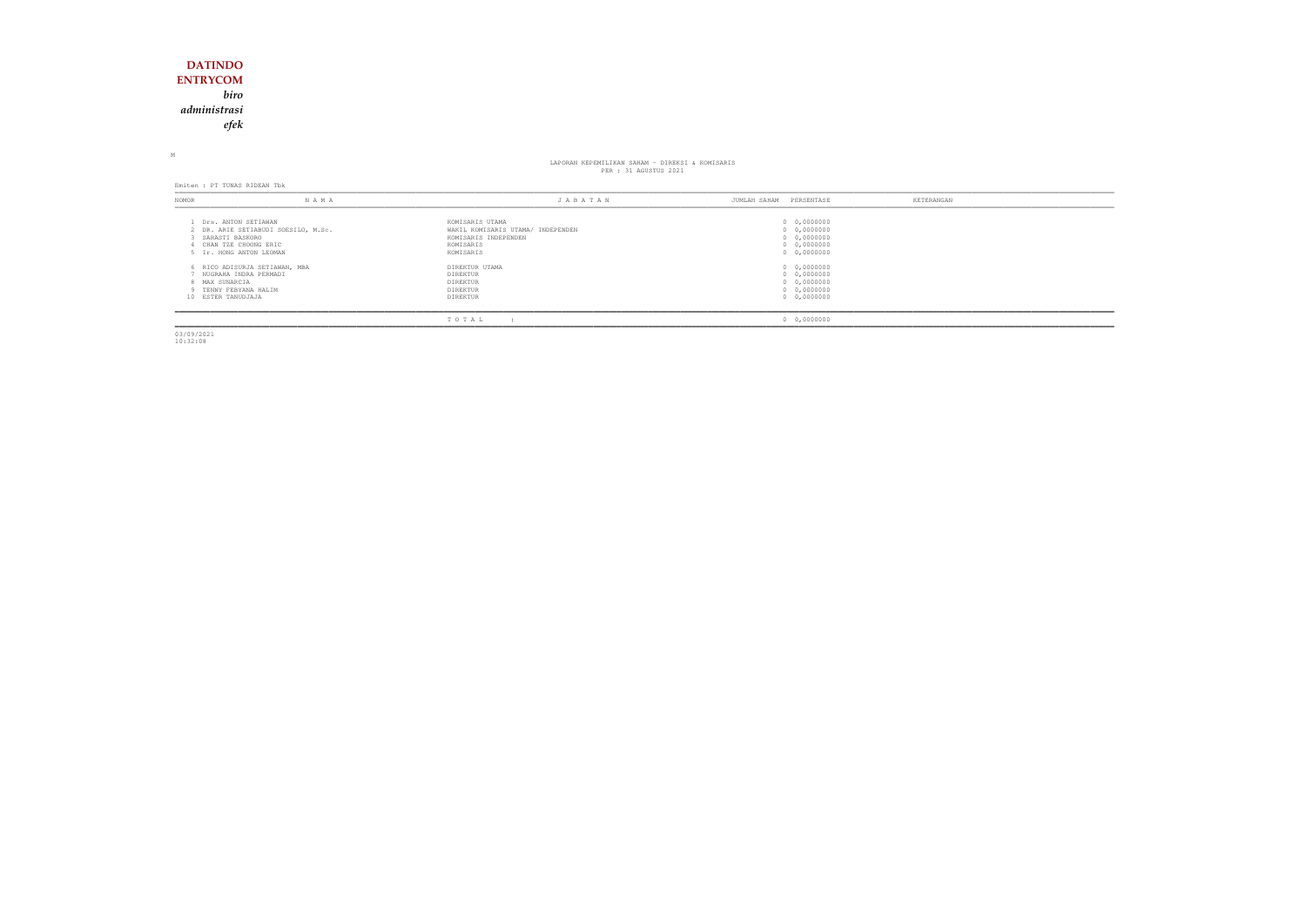## **DATINDO ENTRYCOM** *biro administrasiefek*

M

## LAPORAN KEPEMILIKAN SAHAM - DIREKSI & KOMISARIS PER : 31 AGUSTUS 2021

Emiten : PT TUNAS RIDEAN Tbk

| NOMOR                                | N A M A                                                                                                       | JABATAN                                                                                                | PERSENTASE<br>JUMLAH SAHAM                                              | KETERANGAN |
|--------------------------------------|---------------------------------------------------------------------------------------------------------------|--------------------------------------------------------------------------------------------------------|-------------------------------------------------------------------------|------------|
| SARASTI BASKORO                      | Drs. ANTON SETIAWAN<br>2 DR. ARIE SETIABUDI SOESILO, M.Sc.<br>CHAN TZE CHOONG ERIC<br>5 Ir. HONG ANTON LEOMAN | KOMISARIS UTAMA<br>WAKIL KOMISARIS UTAMA/ INDEPENDEN<br>KOMISARIS INDEPENDEN<br>KOMISARIS<br>KOMISARIS | 0 0,0000000<br>0 0,0000000<br>0 0,0000000<br>0 0,0000000<br>0 0,0000000 |            |
| 8 MAX SUNARCIA<br>10 ESTER TANUDJAJA | 6 RICO ADISURJA SETIAWAN, MBA<br>NUGRAHA INDRA PERMADI<br>9 TENNY FEBYANA HALIM                               | DIREKTUR UTAMA<br>DIREKTUR<br>DIREKTUR<br>DIREKTUR<br>DIREKTUR                                         | 0 0,0000000<br>0 0,0000000<br>0 0,0000000<br>0 0,0000000<br>0 0,0000000 |            |
|                                      |                                                                                                               | TOTAL                                                                                                  | 0 0,0000000                                                             |            |

03/09/2021 10:32:08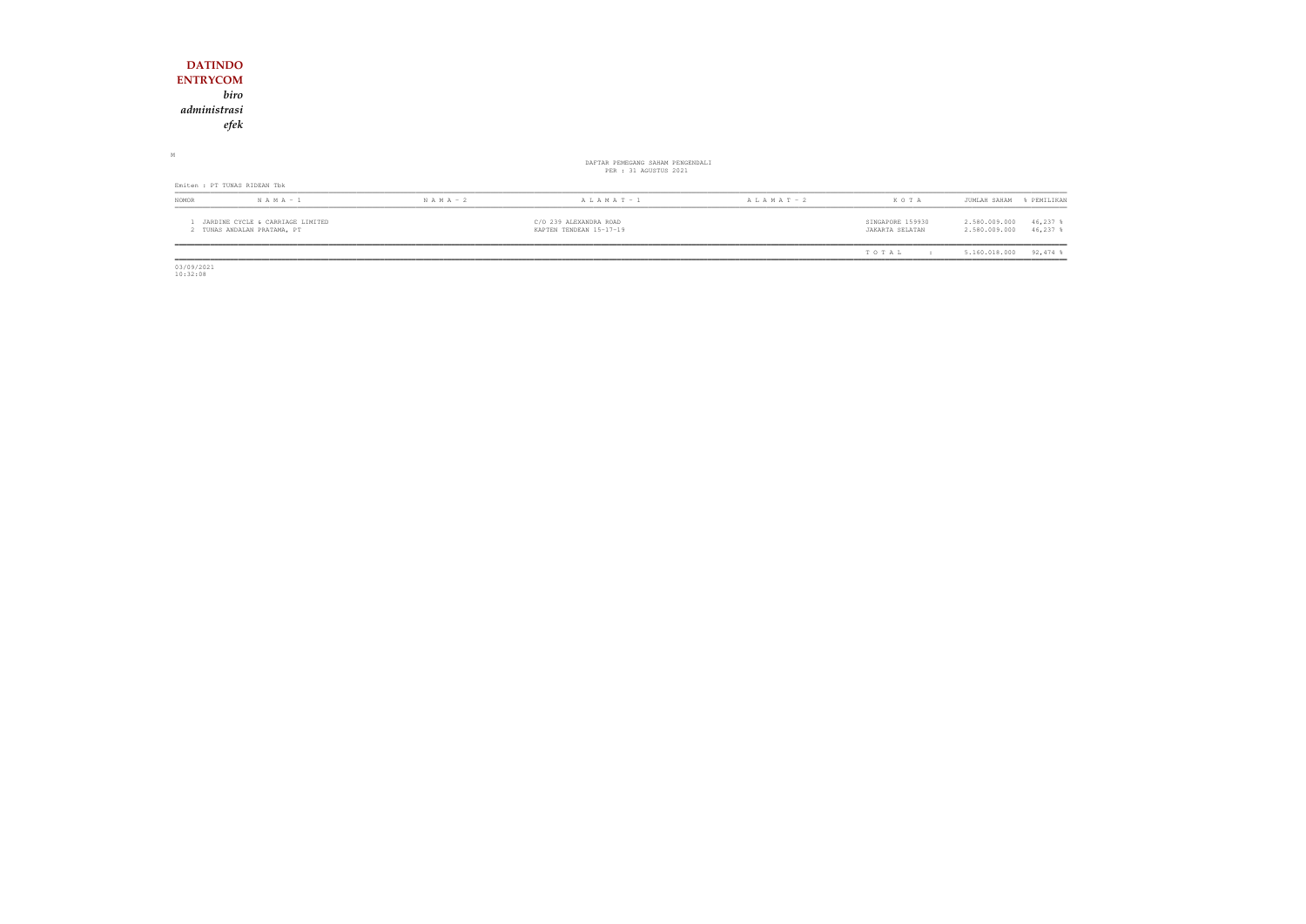| <b>DATINDO</b>                                                  |               |                                                           |                 |                                     |                                                           |
|-----------------------------------------------------------------|---------------|-----------------------------------------------------------|-----------------|-------------------------------------|-----------------------------------------------------------|
| <b>ENTRYCOM</b>                                                 |               |                                                           |                 |                                     |                                                           |
| biro                                                            |               |                                                           |                 |                                     |                                                           |
| administrasi                                                    |               |                                                           |                 |                                     |                                                           |
| efek                                                            |               |                                                           |                 |                                     |                                                           |
|                                                                 |               |                                                           |                 |                                     |                                                           |
| М                                                               |               | DAFTAR PEMEGANG SAHAM PENGENDALI<br>PER : 31 AGUSTUS 2021 |                 |                                     |                                                           |
| Emiten : PT TUNAS RIDEAN Tbk                                    |               |                                                           |                 |                                     |                                                           |
| $N A M A - 1$<br>NOMOR                                          | $N$ A M A - 2 | A L A M A T - 1                                           | A L A M A T - 2 | KOTA                                | % PEMILIKAN<br>JUMLAH SAHAM                               |
| JARDINE CYCLE & CARRIAGE LIMITED<br>2 TUNAS ANDALAN PRATAMA, PT |               | C/O 239 ALEXANDRA ROAD<br>KAPTEN TENDEAN 15-17-19         |                 | SINGAPORE 159930<br>JAKARTA SELATAN | 46,237 %<br>2.580.009.000<br>2.580.009.000<br>$46,237$ \$ |
|                                                                 |               |                                                           |                 | TOTAL<br>$\mathbf{r}$               | $92,474$ %<br>5.160.018.000                               |

 $\begin{array}{c} \hline \hline 03/09/2021 \\ 10:32:08 \end{array}$